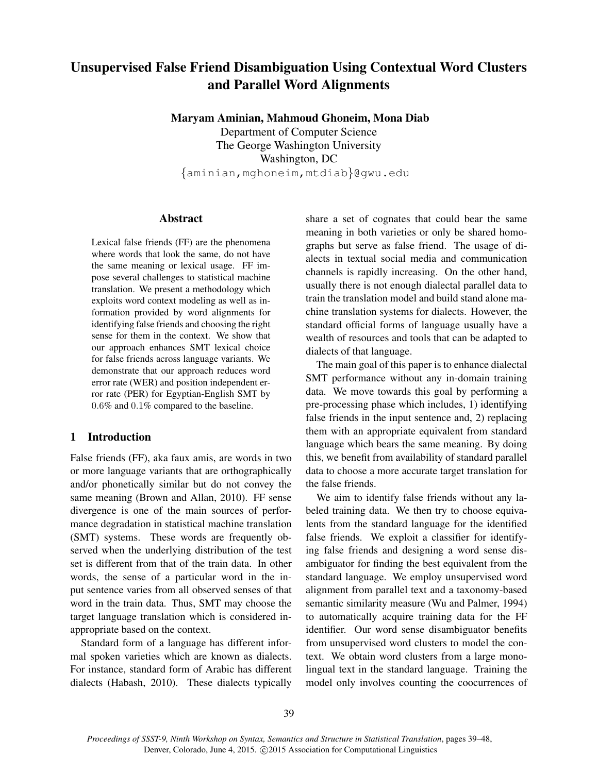# Unsupervised False Friend Disambiguation Using Contextual Word Clusters and Parallel Word Alignments

Maryam Aminian, Mahmoud Ghoneim, Mona Diab

Department of Computer Science The George Washington University Washington, DC {aminian,mghoneim,mtdiab}@gwu.edu

#### Abstract

Lexical false friends (FF) are the phenomena where words that look the same, do not have the same meaning or lexical usage. FF impose several challenges to statistical machine translation. We present a methodology which exploits word context modeling as well as information provided by word alignments for identifying false friends and choosing the right sense for them in the context. We show that our approach enhances SMT lexical choice for false friends across language variants. We demonstrate that our approach reduces word error rate (WER) and position independent error rate (PER) for Egyptian-English SMT by 0.6% and 0.1% compared to the baseline.

# 1 Introduction

False friends (FF), aka faux amis, are words in two or more language variants that are orthographically and/or phonetically similar but do not convey the same meaning (Brown and Allan, 2010). FF sense divergence is one of the main sources of performance degradation in statistical machine translation (SMT) systems. These words are frequently observed when the underlying distribution of the test set is different from that of the train data. In other words, the sense of a particular word in the input sentence varies from all observed senses of that word in the train data. Thus, SMT may choose the target language translation which is considered inappropriate based on the context.

Standard form of a language has different informal spoken varieties which are known as dialects. For instance, standard form of Arabic has different dialects (Habash, 2010). These dialects typically

share a set of cognates that could bear the same meaning in both varieties or only be shared homographs but serve as false friend. The usage of dialects in textual social media and communication channels is rapidly increasing. On the other hand, usually there is not enough dialectal parallel data to train the translation model and build stand alone machine translation systems for dialects. However, the standard official forms of language usually have a wealth of resources and tools that can be adapted to dialects of that language.

The main goal of this paper is to enhance dialectal SMT performance without any in-domain training data. We move towards this goal by performing a pre-processing phase which includes, 1) identifying false friends in the input sentence and, 2) replacing them with an appropriate equivalent from standard language which bears the same meaning. By doing this, we benefit from availability of standard parallel data to choose a more accurate target translation for the false friends.

We aim to identify false friends without any labeled training data. We then try to choose equivalents from the standard language for the identified false friends. We exploit a classifier for identifying false friends and designing a word sense disambiguator for finding the best equivalent from the standard language. We employ unsupervised word alignment from parallel text and a taxonomy-based semantic similarity measure (Wu and Palmer, 1994) to automatically acquire training data for the FF identifier. Our word sense disambiguator benefits from unsupervised word clusters to model the context. We obtain word clusters from a large monolingual text in the standard language. Training the model only involves counting the coocurrences of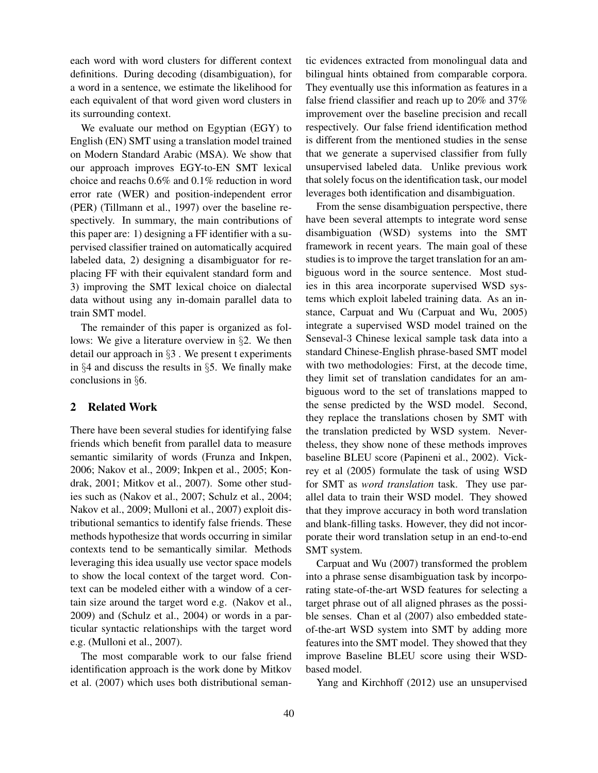each word with word clusters for different context definitions. During decoding (disambiguation), for a word in a sentence, we estimate the likelihood for each equivalent of that word given word clusters in its surrounding context.

We evaluate our method on Egyptian (EGY) to English (EN) SMT using a translation model trained on Modern Standard Arabic (MSA). We show that our approach improves EGY-to-EN SMT lexical choice and reachs 0.6% and 0.1% reduction in word error rate (WER) and position-independent error (PER) (Tillmann et al., 1997) over the baseline respectively. In summary, the main contributions of this paper are: 1) designing a FF identifier with a supervised classifier trained on automatically acquired labeled data, 2) designing a disambiguator for replacing FF with their equivalent standard form and 3) improving the SMT lexical choice on dialectal data without using any in-domain parallel data to train SMT model.

The remainder of this paper is organized as follows: We give a literature overview in §2. We then detail our approach in §3 . We present t experiments in §4 and discuss the results in §5. We finally make conclusions in §6.

## 2 Related Work

There have been several studies for identifying false friends which benefit from parallel data to measure semantic similarity of words (Frunza and Inkpen, 2006; Nakov et al., 2009; Inkpen et al., 2005; Kondrak, 2001; Mitkov et al., 2007). Some other studies such as (Nakov et al., 2007; Schulz et al., 2004; Nakov et al., 2009; Mulloni et al., 2007) exploit distributional semantics to identify false friends. These methods hypothesize that words occurring in similar contexts tend to be semantically similar. Methods leveraging this idea usually use vector space models to show the local context of the target word. Context can be modeled either with a window of a certain size around the target word e.g. (Nakov et al., 2009) and (Schulz et al., 2004) or words in a particular syntactic relationships with the target word e.g. (Mulloni et al., 2007).

The most comparable work to our false friend identification approach is the work done by Mitkov et al. (2007) which uses both distributional semantic evidences extracted from monolingual data and bilingual hints obtained from comparable corpora. They eventually use this information as features in a false friend classifier and reach up to 20% and 37% improvement over the baseline precision and recall respectively. Our false friend identification method is different from the mentioned studies in the sense that we generate a supervised classifier from fully unsupervised labeled data. Unlike previous work that solely focus on the identification task, our model leverages both identification and disambiguation.

From the sense disambiguation perspective, there have been several attempts to integrate word sense disambiguation (WSD) systems into the SMT framework in recent years. The main goal of these studies is to improve the target translation for an ambiguous word in the source sentence. Most studies in this area incorporate supervised WSD systems which exploit labeled training data. As an instance, Carpuat and Wu (Carpuat and Wu, 2005) integrate a supervised WSD model trained on the Senseval-3 Chinese lexical sample task data into a standard Chinese-English phrase-based SMT model with two methodologies: First, at the decode time, they limit set of translation candidates for an ambiguous word to the set of translations mapped to the sense predicted by the WSD model. Second, they replace the translations chosen by SMT with the translation predicted by WSD system. Nevertheless, they show none of these methods improves baseline BLEU score (Papineni et al., 2002). Vickrey et al (2005) formulate the task of using WSD for SMT as *word translation* task. They use parallel data to train their WSD model. They showed that they improve accuracy in both word translation and blank-filling tasks. However, they did not incorporate their word translation setup in an end-to-end SMT system.

Carpuat and Wu (2007) transformed the problem into a phrase sense disambiguation task by incorporating state-of-the-art WSD features for selecting a target phrase out of all aligned phrases as the possible senses. Chan et al (2007) also embedded stateof-the-art WSD system into SMT by adding more features into the SMT model. They showed that they improve Baseline BLEU score using their WSDbased model.

Yang and Kirchhoff (2012) use an unsupervised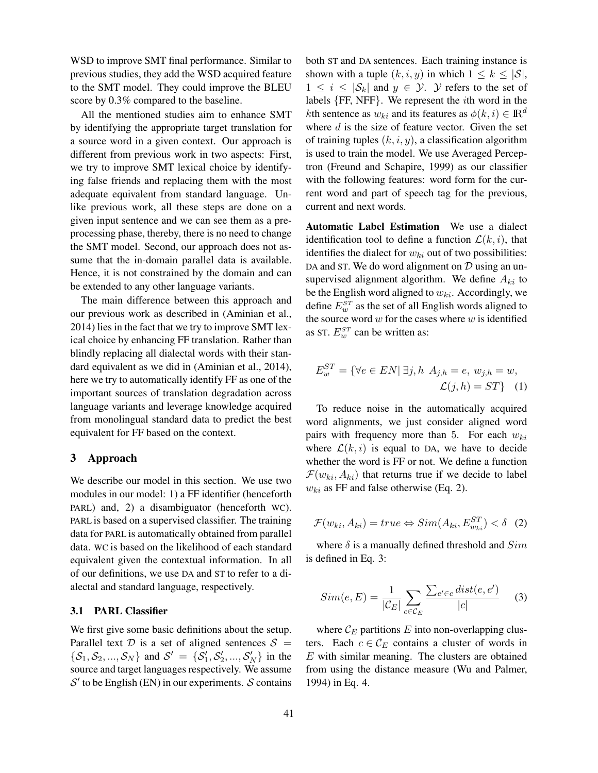WSD to improve SMT final performance. Similar to previous studies, they add the WSD acquired feature to the SMT model. They could improve the BLEU score by 0.3% compared to the baseline.

All the mentioned studies aim to enhance SMT by identifying the appropriate target translation for a source word in a given context. Our approach is different from previous work in two aspects: First, we try to improve SMT lexical choice by identifying false friends and replacing them with the most adequate equivalent from standard language. Unlike previous work, all these steps are done on a given input sentence and we can see them as a preprocessing phase, thereby, there is no need to change the SMT model. Second, our approach does not assume that the in-domain parallel data is available. Hence, it is not constrained by the domain and can be extended to any other language variants.

The main difference between this approach and our previous work as described in (Aminian et al., 2014) lies in the fact that we try to improve SMT lexical choice by enhancing FF translation. Rather than blindly replacing all dialectal words with their standard equivalent as we did in (Aminian et al., 2014), here we try to automatically identify FF as one of the important sources of translation degradation across language variants and leverage knowledge acquired from monolingual standard data to predict the best equivalent for FF based on the context.

## 3 Approach

We describe our model in this section. We use two modules in our model: 1) a FF identifier (henceforth PARL) and, 2) a disambiguator (henceforth WC). PARL is based on a supervised classifier. The training data for PARL is automatically obtained from parallel data. WC is based on the likelihood of each standard equivalent given the contextual information. In all of our definitions, we use DA and ST to refer to a dialectal and standard language, respectively.

## 3.1 PARL Classifier

We first give some basic definitions about the setup. Parallel text  $D$  is a set of aligned sentences  $S =$  $\{S_1, S_2, ..., S_N\}$  and  $S' = \{S'_1, S'_2, ..., S'_N\}$  in the source and target languages respectively. We assume  $\mathcal{S}'$  to be English (EN) in our experiments.  $\mathcal S$  contains

both ST and DA sentences. Each training instance is shown with a tuple  $(k, i, y)$  in which  $1 \leq k \leq |\mathcal{S}|$ ,  $1 \leq i \leq |\mathcal{S}_k|$  and  $y \in \mathcal{Y}$ . Y refers to the set of labels {FF, NFF}. We represent the ith word in the kth sentence as  $w_{ki}$  and its features as  $\phi(k, i) \in \mathbb{R}^d$ where  $d$  is the size of feature vector. Given the set of training tuples  $(k, i, y)$ , a classification algorithm is used to train the model. We use Averaged Perceptron (Freund and Schapire, 1999) as our classifier with the following features: word form for the current word and part of speech tag for the previous, current and next words.

Automatic Label Estimation We use a dialect identification tool to define a function  $\mathcal{L}(k, i)$ , that identifies the dialect for  $w_{ki}$  out of two possibilities: DA and ST. We do word alignment on  $D$  using an unsupervised alignment algorithm. We define  $A_{ki}$  to be the English word aligned to  $w_{ki}$ . Accordingly, we define  $E_w^{ST}$  as the set of all English words aligned to the source word  $w$  for the cases where  $w$  is identified as ST.  $E_w^{ST}$  can be written as:

$$
E_w^{ST} = \{ \forall e \in EN | \exists j, h \ A_{j,h} = e, \ w_{j,h} = w, \mathcal{L}(j,h) = ST \} \quad (1)
$$

To reduce noise in the automatically acquired word alignments, we just consider aligned word pairs with frequency more than 5. For each  $w_{ki}$ where  $\mathcal{L}(k, i)$  is equal to DA, we have to decide whether the word is FF or not. We define a function  $\mathcal{F}(w_{ki}, A_{ki})$  that returns true if we decide to label  $w_{ki}$  as FF and false otherwise (Eq. 2).

$$
\mathcal{F}(w_{ki}, A_{ki}) = true \Leftrightarrow Sim(A_{ki}, E_{w_{ki}}^{ST}) < \delta \quad (2)
$$

where  $\delta$  is a manually defined threshold and  $Sim$ is defined in Eq. 3:

$$
Sim(e, E) = \frac{1}{|\mathcal{C}_E|} \sum_{c \in \mathcal{C}_E} \frac{\sum_{e' \in c} dist(e, e')}{|c|} \tag{3}
$$

where  $\mathcal{C}_E$  partitions E into non-overlapping clusters. Each  $c \in \mathcal{C}_E$  contains a cluster of words in E with similar meaning. The clusters are obtained from using the distance measure (Wu and Palmer, 1994) in Eq. 4.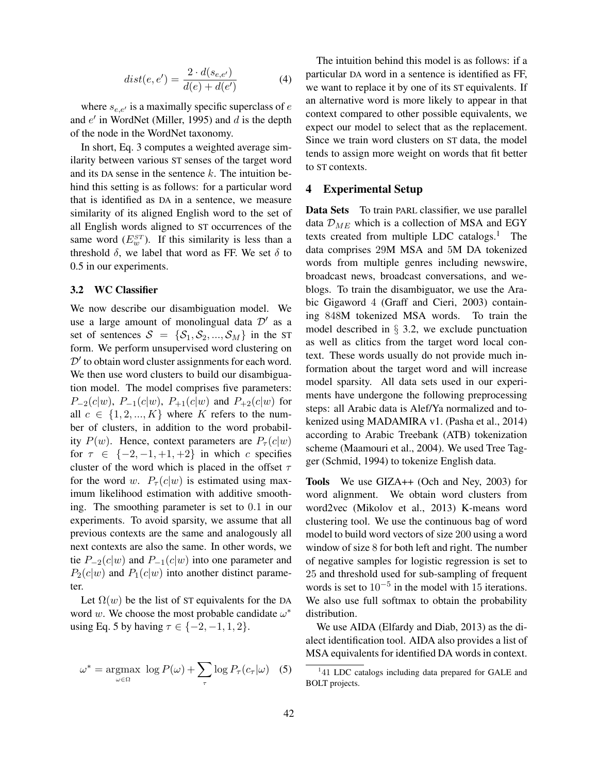$$
dist(e, e') = \frac{2 \cdot d(s_{e,e'})}{d(e) + d(e')}
$$
 (4)

where  $s_{e,e'}$  is a maximally specific superclass of e and  $e'$  in WordNet (Miller, 1995) and  $d$  is the depth of the node in the WordNet taxonomy.

In short, Eq. 3 computes a weighted average similarity between various ST senses of the target word and its DA sense in the sentence  $k$ . The intuition behind this setting is as follows: for a particular word that is identified as DA in a sentence, we measure similarity of its aligned English word to the set of all English words aligned to ST occurrences of the same word  $(E_{w}^{ST})$ . If this similarity is less than a threshold  $\delta$ , we label that word as FF. We set  $\delta$  to 0.5 in our experiments.

## 3.2 WC Classifier

We now describe our disambiguation model. We use a large amount of monolingual data  $\mathcal{D}'$  as a set of sentences  $S = \{S_1, S_2, ..., S_M\}$  in the ST form. We perform unsupervised word clustering on  $\mathcal{D}'$  to obtain word cluster assignments for each word. We then use word clusters to build our disambiguation model. The model comprises five parameters:  $P_{-2}(c|w)$ ,  $P_{-1}(c|w)$ ,  $P_{+1}(c|w)$  and  $P_{+2}(c|w)$  for all  $c \in \{1, 2, ..., K\}$  where K refers to the number of clusters, in addition to the word probability  $P(w)$ . Hence, context parameters are  $P_{\tau}(c|w)$ for  $\tau \in \{-2, -1, +1, +2\}$  in which c specifies cluster of the word which is placed in the offset  $\tau$ for the word w.  $P_{\tau}(c|w)$  is estimated using maximum likelihood estimation with additive smoothing. The smoothing parameter is set to 0.1 in our experiments. To avoid sparsity, we assume that all previous contexts are the same and analogously all next contexts are also the same. In other words, we tie  $P_{-2}(c|w)$  and  $P_{-1}(c|w)$  into one parameter and  $P_2(c|w)$  and  $P_1(c|w)$  into another distinct parameter.

Let  $\Omega(w)$  be the list of ST equivalents for the DA word w. We choose the most probable candidate  $\omega^*$ using Eq. 5 by having  $\tau \in \{-2, -1, 1, 2\}.$ 

$$
\omega^* = \underset{\omega \in \Omega}{\operatorname{argmax}} \ \log P(\omega) + \sum_{\tau} \log P_{\tau}(c_{\tau}|\omega) \quad (5)
$$

The intuition behind this model is as follows: if a particular DA word in a sentence is identified as FF, we want to replace it by one of its ST equivalents. If an alternative word is more likely to appear in that context compared to other possible equivalents, we expect our model to select that as the replacement. Since we train word clusters on ST data, the model tends to assign more weight on words that fit better to ST contexts.

#### 4 Experimental Setup

Data Sets To train PARL classifier, we use parallel data  $\mathcal{D}_{ME}$  which is a collection of MSA and EGY texts created from multiple LDC catalogs.<sup>1</sup> The data comprises 29M MSA and 5M DA tokenized words from multiple genres including newswire, broadcast news, broadcast conversations, and weblogs. To train the disambiguator, we use the Arabic Gigaword 4 (Graff and Cieri, 2003) containing 848M tokenized MSA words. To train the model described in § 3.2, we exclude punctuation as well as clitics from the target word local context. These words usually do not provide much information about the target word and will increase model sparsity. All data sets used in our experiments have undergone the following preprocessing steps: all Arabic data is Alef/Ya normalized and tokenized using MADAMIRA v1. (Pasha et al., 2014) according to Arabic Treebank (ATB) tokenization scheme (Maamouri et al., 2004). We used Tree Tagger (Schmid, 1994) to tokenize English data.

Tools We use GIZA++ (Och and Ney, 2003) for word alignment. We obtain word clusters from word2vec (Mikolov et al., 2013) K-means word clustering tool. We use the continuous bag of word model to build word vectors of size 200 using a word window of size 8 for both left and right. The number of negative samples for logistic regression is set to 25 and threshold used for sub-sampling of frequent words is set to  $10^{-5}$  in the model with 15 iterations. We also use full softmax to obtain the probability distribution.

We use AIDA (Elfardy and Diab, 2013) as the dialect identification tool. AIDA also provides a list of MSA equivalents for identified DA words in context.

<sup>&</sup>lt;sup>1</sup>41 LDC catalogs including data prepared for GALE and BOLT projects.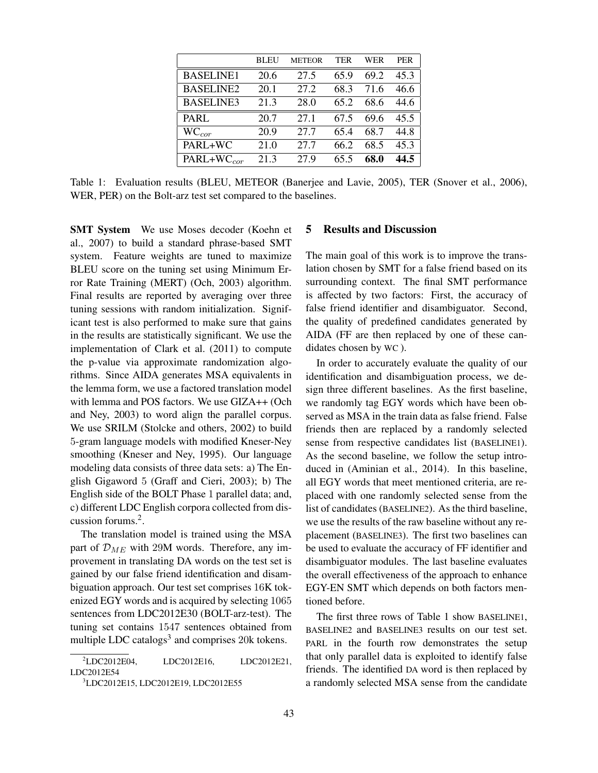|                  | BLEU | <b>METEOR</b> | TER  | WER  | <b>PER</b> |
|------------------|------|---------------|------|------|------------|
| <b>BASELINE1</b> | 20.6 | 27.5          | 65.9 | 69.2 | 45.3       |
| <b>BASELINE2</b> | 20.1 | 27.2          | 68.3 | 71.6 | 46.6       |
| <b>BASELINE3</b> | 21.3 | 28.0          | 65.2 | 68.6 | 44.6       |
| <b>PARL</b>      | 20.7 | 27.1          | 67.5 | 69.6 | 45.5       |
| $WC_{cor}$       | 20.9 | 27.7          | 65.4 | 68.7 | 44.8       |
| PARL+WC          | 21.0 | 27.7          | 66.2 | 68.5 | 45.3       |
| $PARL+WC_{cor}$  | 21.3 | 27.9          | 65 5 | 68.0 | 44.5       |

Table 1: Evaluation results (BLEU, METEOR (Banerjee and Lavie, 2005), TER (Snover et al., 2006), WER, PER) on the Bolt-arz test set compared to the baselines.

SMT System We use Moses decoder (Koehn et al., 2007) to build a standard phrase-based SMT system. Feature weights are tuned to maximize BLEU score on the tuning set using Minimum Error Rate Training (MERT) (Och, 2003) algorithm. Final results are reported by averaging over three tuning sessions with random initialization. Significant test is also performed to make sure that gains in the results are statistically significant. We use the implementation of Clark et al. (2011) to compute the p-value via approximate randomization algorithms. Since AIDA generates MSA equivalents in the lemma form, we use a factored translation model with lemma and POS factors. We use GIZA++ (Och and Ney, 2003) to word align the parallel corpus. We use SRILM (Stolcke and others, 2002) to build 5-gram language models with modified Kneser-Ney smoothing (Kneser and Ney, 1995). Our language modeling data consists of three data sets: a) The English Gigaword 5 (Graff and Cieri, 2003); b) The English side of the BOLT Phase 1 parallel data; and, c) different LDC English corpora collected from discussion forums.<sup>2</sup> .

The translation model is trained using the MSA part of  $\mathcal{D}_{ME}$  with 29M words. Therefore, any improvement in translating DA words on the test set is gained by our false friend identification and disambiguation approach. Our test set comprises 16K tokenized EGY words and is acquired by selecting 1065 sentences from LDC2012E30 (BOLT-arz-test). The tuning set contains 1547 sentences obtained from multiple LDC catalogs<sup>3</sup> and comprises 20 $k$  tokens.

<sup>2</sup>LDC2012E04, LDC2012E16, LDC2012E21, LDC2012E54

## 5 Results and Discussion

The main goal of this work is to improve the translation chosen by SMT for a false friend based on its surrounding context. The final SMT performance is affected by two factors: First, the accuracy of false friend identifier and disambiguator. Second, the quality of predefined candidates generated by AIDA (FF are then replaced by one of these candidates chosen by WC ).

In order to accurately evaluate the quality of our identification and disambiguation process, we design three different baselines. As the first baseline, we randomly tag EGY words which have been observed as MSA in the train data as false friend. False friends then are replaced by a randomly selected sense from respective candidates list (BASELINE1). As the second baseline, we follow the setup introduced in (Aminian et al., 2014). In this baseline, all EGY words that meet mentioned criteria, are replaced with one randomly selected sense from the list of candidates (BASELINE2). As the third baseline, we use the results of the raw baseline without any replacement (BASELINE3). The first two baselines can be used to evaluate the accuracy of FF identifier and disambiguator modules. The last baseline evaluates the overall effectiveness of the approach to enhance EGY-EN SMT which depends on both factors mentioned before.

The first three rows of Table 1 show BASELINE1, BASELINE2 and BASELINE3 results on our test set. PARL in the fourth row demonstrates the setup that only parallel data is exploited to identify false friends. The identified DA word is then replaced by a randomly selected MSA sense from the candidate

<sup>3</sup>LDC2012E15, LDC2012E19, LDC2012E55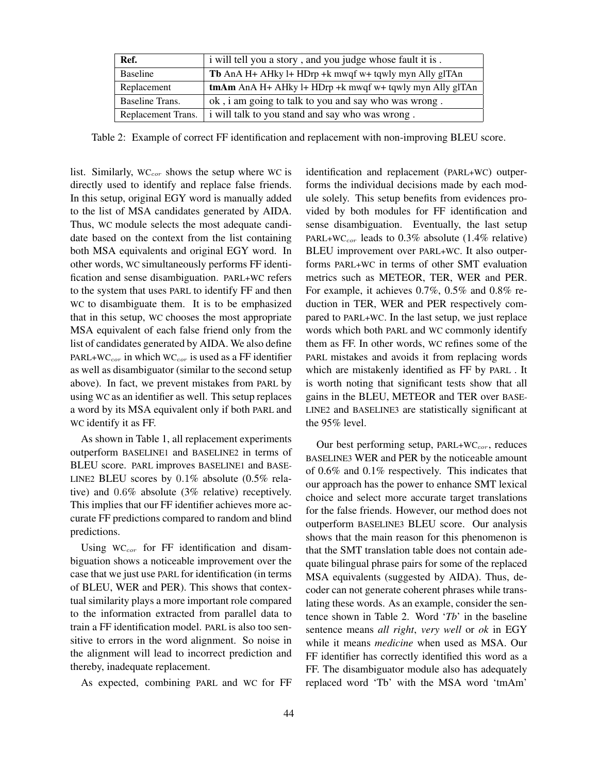| Ref.               | i will tell you a story, and you judge whose fault it is. |
|--------------------|-----------------------------------------------------------|
| Baseline           | Tb AnA H+ AHky l+ HDrp +k mwqf w+ tqwly myn Ally glTAn    |
| Replacement        | tmAm AnA H+ AHky l+ HDrp +k mwqf w+ tqwly myn Ally glTAn  |
| Baseline Trans.    | ok, i am going to talk to you and say who was wrong.      |
| Replacement Trans. | i will talk to you stand and say who was wrong.           |

Table 2: Example of correct FF identification and replacement with non-improving BLEU score.

list. Similarly,  $WC_{cor}$  shows the setup where WC is directly used to identify and replace false friends. In this setup, original EGY word is manually added to the list of MSA candidates generated by AIDA. Thus, WC module selects the most adequate candidate based on the context from the list containing both MSA equivalents and original EGY word. In other words, WC simultaneously performs FF identification and sense disambiguation. PARL+WC refers to the system that uses PARL to identify FF and then WC to disambiguate them. It is to be emphasized that in this setup, WC chooses the most appropriate MSA equivalent of each false friend only from the list of candidates generated by AIDA. We also define PARL+WC<sub>cor</sub> in which WC<sub>cor</sub> is used as a FF identifier as well as disambiguator (similar to the second setup above). In fact, we prevent mistakes from PARL by using WC as an identifier as well. This setup replaces a word by its MSA equivalent only if both PARL and WC identify it as FF.

As shown in Table 1, all replacement experiments outperform BASELINE1 and BASELINE2 in terms of BLEU score. PARL improves BASELINE1 and BASE-LINE2 BLEU scores by 0.1% absolute (0.5% relative) and 0.6% absolute (3% relative) receptively. This implies that our FF identifier achieves more accurate FF predictions compared to random and blind predictions.

Using  $WC_{cor}$  for FF identification and disambiguation shows a noticeable improvement over the case that we just use PARL for identification (in terms of BLEU, WER and PER). This shows that contextual similarity plays a more important role compared to the information extracted from parallel data to train a FF identification model. PARL is also too sensitive to errors in the word alignment. So noise in the alignment will lead to incorrect prediction and thereby, inadequate replacement.

As expected, combining PARL and WC for FF

identification and replacement (PARL+WC) outperforms the individual decisions made by each module solely. This setup benefits from evidences provided by both modules for FF identification and sense disambiguation. Eventually, the last setup PARL+WC<sub>cor</sub> leads to  $0.3\%$  absolute (1.4% relative) BLEU improvement over PARL+WC. It also outperforms PARL+WC in terms of other SMT evaluation metrics such as METEOR, TER, WER and PER. For example, it achieves 0.7%, 0.5% and 0.8% reduction in TER, WER and PER respectively compared to PARL+WC. In the last setup, we just replace words which both PARL and WC commonly identify them as FF. In other words, WC refines some of the PARL mistakes and avoids it from replacing words which are mistakenly identified as FF by PARL . It is worth noting that significant tests show that all gains in the BLEU, METEOR and TER over BASE-LINE2 and BASELINE3 are statistically significant at the 95% level.

Our best performing setup,  $PARL+WC_{cor}$ , reduces BASELINE3 WER and PER by the noticeable amount of 0.6% and 0.1% respectively. This indicates that our approach has the power to enhance SMT lexical choice and select more accurate target translations for the false friends. However, our method does not outperform BASELINE3 BLEU score. Our analysis shows that the main reason for this phenomenon is that the SMT translation table does not contain adequate bilingual phrase pairs for some of the replaced MSA equivalents (suggested by AIDA). Thus, decoder can not generate coherent phrases while translating these words. As an example, consider the sentence shown in Table 2. Word '*Tb*' in the baseline sentence means *all right*, *very well* or *ok* in EGY while it means *medicine* when used as MSA. Our FF identifier has correctly identified this word as a FF. The disambiguator module also has adequately replaced word 'Tb' with the MSA word 'tmAm'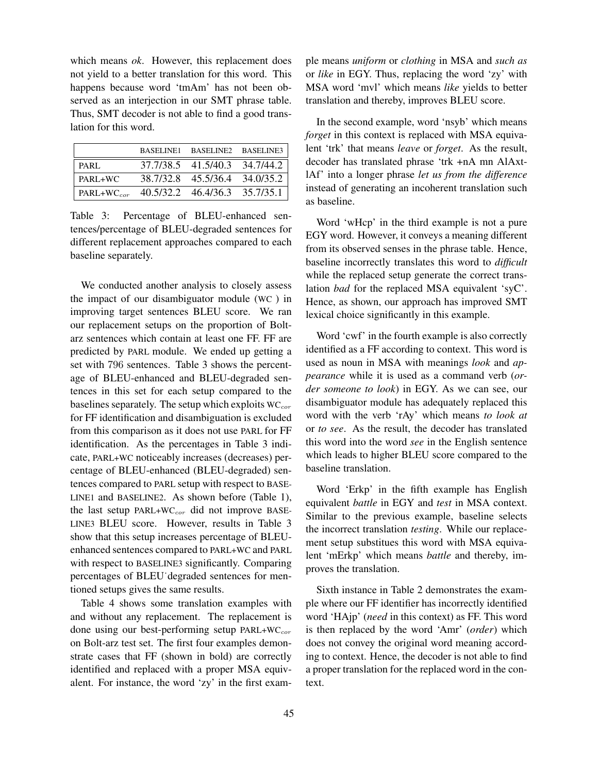which means *ok*. However, this replacement does not yield to a better translation for this word. This happens because word 'tmAm' has not been observed as an interjection in our SMT phrase table. Thus, SMT decoder is not able to find a good translation for this word.

|                                                      | BASELINE1 BASELINE2 BASELINE3 |  |
|------------------------------------------------------|-------------------------------|--|
| PARL                                                 | 37.7/38.5 41.5/40.3 34.7/44.2 |  |
| PARL+WC                                              | 38.7/32.8 45.5/36.4 34.0/35.2 |  |
| PARL+WC <sub>cor</sub> 40.5/32.2 46.4/36.3 35.7/35.1 |                               |  |

Table 3: Percentage of BLEU-enhanced sentences/percentage of BLEU-degraded sentences for different replacement approaches compared to each baseline separately.

We conducted another analysis to closely assess the impact of our disambiguator module (WC ) in improving target sentences BLEU score. We ran our replacement setups on the proportion of Boltarz sentences which contain at least one FF. FF are predicted by PARL module. We ended up getting a set with 796 sentences. Table 3 shows the percentage of BLEU-enhanced and BLEU-degraded sentences in this set for each setup compared to the baselines separately. The setup which exploits  $WC_{cor}$ for FF identification and disambiguation is excluded from this comparison as it does not use PARL for FF identification. As the percentages in Table 3 indicate, PARL+WC noticeably increases (decreases) percentage of BLEU-enhanced (BLEU-degraded) sentences compared to PARL setup with respect to BASE-LINE1 and BASELINE2. As shown before (Table 1), the last setup PARL+W $C_{cor}$  did not improve BASE-LINE3 BLEU score. However, results in Table 3 show that this setup increases percentage of BLEUenhanced sentences compared to PARL+WC and PARL with respect to BASELINE3 significantly. Comparing percentages of BLEU˙degraded sentences for mentioned setups gives the same results.

Table 4 shows some translation examples with and without any replacement. The replacement is done using our best-performing setup  $PARL+WC_{cor}$ on Bolt-arz test set. The first four examples demonstrate cases that FF (shown in bold) are correctly identified and replaced with a proper MSA equivalent. For instance, the word 'zy' in the first example means *uniform* or *clothing* in MSA and *such as* or *like* in EGY. Thus, replacing the word 'zy' with MSA word 'mvl' which means *like* yields to better translation and thereby, improves BLEU score.

In the second example, word 'nsyb' which means *forget* in this context is replaced with MSA equivalent 'trk' that means *leave* or *forget*. As the result, decoder has translated phrase 'trk +nA mn AlAxtlAf' into a longer phrase *let us from the difference* instead of generating an incoherent translation such as baseline.

Word 'wHcp' in the third example is not a pure EGY word. However, it conveys a meaning different from its observed senses in the phrase table. Hence, baseline incorrectly translates this word to *difficult* while the replaced setup generate the correct translation *bad* for the replaced MSA equivalent 'syC'. Hence, as shown, our approach has improved SMT lexical choice significantly in this example.

Word 'cwf' in the fourth example is also correctly identified as a FF according to context. This word is used as noun in MSA with meanings *look* and *appearance* while it is used as a command verb (*order someone to look*) in EGY. As we can see, our disambiguator module has adequately replaced this word with the verb 'rAy' which means *to look at* or *to see*. As the result, the decoder has translated this word into the word *see* in the English sentence which leads to higher BLEU score compared to the baseline translation.

Word 'Erkp' in the fifth example has English equivalent *battle* in EGY and *test* in MSA context. Similar to the previous example, baseline selects the incorrect translation *testing*. While our replacement setup substitues this word with MSA equivalent 'mErkp' which means *battle* and thereby, improves the translation.

Sixth instance in Table 2 demonstrates the example where our FF identifier has incorrectly identified word 'HAjp' (*need* in this context) as FF. This word is then replaced by the word 'Amr' (*order*) which does not convey the original word meaning according to context. Hence, the decoder is not able to find a proper translation for the replaced word in the context.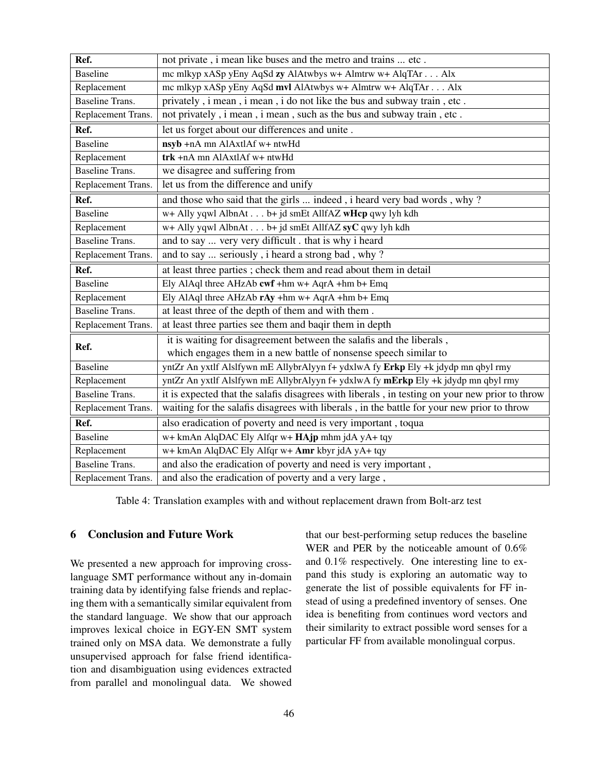| Ref.                   | not private, i mean like buses and the metro and trains  etc.                                  |
|------------------------|------------------------------------------------------------------------------------------------|
| <b>Baseline</b>        | mc mlkyp xASp yEny AqSd zy AlAtwbys w+ Almtrw w+ AlqTAr Alx                                    |
| Replacement            | mc mlkyp xASp yEny AqSd mvl AlAtwbys w+ Almtrw w+ AlqTAr Alx                                   |
| <b>Baseline Trans.</b> | privately, i mean, i mean, i do not like the bus and subway train, etc.                        |
| Replacement Trans.     | not privately, i mean, i mean, such as the bus and subway train, etc.                          |
| Ref.                   | let us forget about our differences and unite.                                                 |
| <b>Baseline</b>        | nsyb +nA mn AlAxtlAf w+ ntwHd                                                                  |
| Replacement            | $trk + nA$ mn Al $AxtlAf$ w+ ntw $Hd$                                                          |
| <b>Baseline Trans.</b> | we disagree and suffering from                                                                 |
| Replacement Trans.     | let us from the difference and unify                                                           |
| Ref.                   | and those who said that the girls  indeed, i heard very bad words, why?                        |
| <b>Baseline</b>        | w+ Ally yqwl AlbnAt b+ jd smEt AllfAZ wHcp qwy lyh kdh                                         |
| Replacement            | w+ Ally yqwl AlbnAt b+ jd smEt AllfAZ syC qwy lyh kdh                                          |
| <b>Baseline Trans.</b> | and to say  very very difficult . that is why i heard                                          |
| Replacement Trans.     | and to say  seriously, i heard a strong bad, why?                                              |
| Ref.                   | at least three parties ; check them and read about them in detail                              |
| <b>Baseline</b>        | Ely AlAql three AHzAb cwf +hm w+ AqrA +hm b+ Emq                                               |
| Replacement            | Ely AlAql three AHzAb rAy +hm w+ AqrA +hm b+ Emq                                               |
| <b>Baseline Trans.</b> | at least three of the depth of them and with them.                                             |
| Replacement Trans.     | at least three parties see them and baqir them in depth                                        |
| Ref.                   | it is waiting for disagreement between the salafis and the liberals,                           |
|                        | which engages them in a new battle of nonsense speech similar to                               |
| <b>Baseline</b>        | yntZr An yxtlf Alslfywn mE AllybrAlyyn f+ ydxlwA fy Erkp Ely +k jdydp mn qbyl rmy              |
| Replacement            | yntZr An yxtlf Alslfywn mE AllybrAlyyn f+ ydxlwA fy mErkp Ely +k jdydp mn qbyl rmy             |
| <b>Baseline Trans.</b> | it is expected that the salafis disagrees with liberals, in testing on your new prior to throw |
| Replacement Trans.     | waiting for the salafis disagrees with liberals, in the battle for your new prior to throw     |
| Ref.                   | also eradication of poverty and need is very important, toqua                                  |
| <b>Baseline</b>        | w+ kmAn AlqDAC Ely Alfqr w+ HAjp mhm jdA yA+ tqy                                               |
| Replacement            | w+ kmAn AlqDAC Ely Alfqr w+ Amr kbyr jdA yA+ tqy                                               |
| <b>Baseline Trans.</b> | and also the eradication of poverty and need is very important,                                |
| Replacement Trans.     | and also the eradication of poverty and a very large,                                          |

Table 4: Translation examples with and without replacement drawn from Bolt-arz test

# 6 Conclusion and Future Work

We presented a new approach for improving crosslanguage SMT performance without any in-domain training data by identifying false friends and replacing them with a semantically similar equivalent from the standard language. We show that our approach improves lexical choice in EGY-EN SMT system trained only on MSA data. We demonstrate a fully unsupervised approach for false friend identification and disambiguation using evidences extracted from parallel and monolingual data. We showed

that our best-performing setup reduces the baseline WER and PER by the noticeable amount of 0.6% and 0.1% respectively. One interesting line to expand this study is exploring an automatic way to generate the list of possible equivalents for FF instead of using a predefined inventory of senses. One idea is benefiting from continues word vectors and their similarity to extract possible word senses for a particular FF from available monolingual corpus.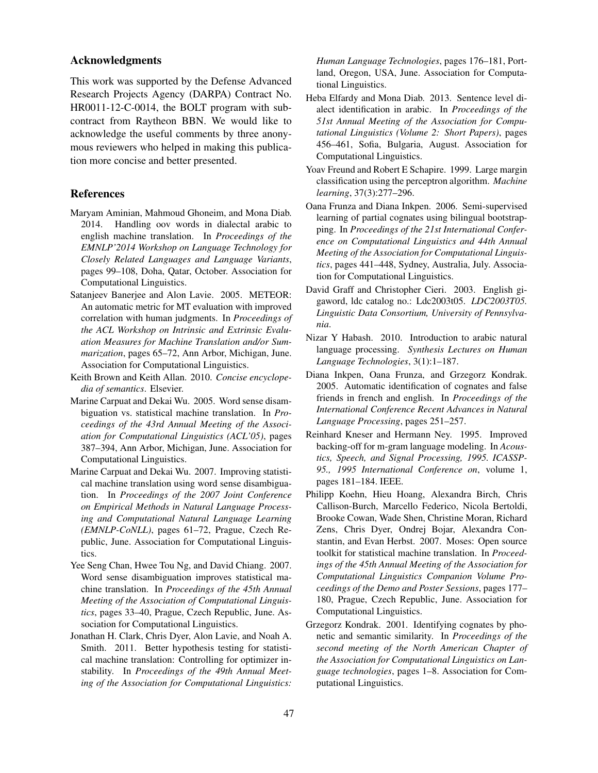## Acknowledgments

This work was supported by the Defense Advanced Research Projects Agency (DARPA) Contract No. HR0011-12-C-0014, the BOLT program with subcontract from Raytheon BBN. We would like to acknowledge the useful comments by three anonymous reviewers who helped in making this publication more concise and better presented.

### References

- Maryam Aminian, Mahmoud Ghoneim, and Mona Diab. 2014. Handling oov words in dialectal arabic to english machine translation. In *Proceedings of the EMNLP'2014 Workshop on Language Technology for Closely Related Languages and Language Variants*, pages 99–108, Doha, Qatar, October. Association for Computational Linguistics.
- Satanjeev Banerjee and Alon Lavie. 2005. METEOR: An automatic metric for MT evaluation with improved correlation with human judgments. In *Proceedings of the ACL Workshop on Intrinsic and Extrinsic Evaluation Measures for Machine Translation and/or Summarization*, pages 65–72, Ann Arbor, Michigan, June. Association for Computational Linguistics.
- Keith Brown and Keith Allan. 2010. *Concise encyclopedia of semantics*. Elsevier.
- Marine Carpuat and Dekai Wu. 2005. Word sense disambiguation vs. statistical machine translation. In *Proceedings of the 43rd Annual Meeting of the Association for Computational Linguistics (ACL'05)*, pages 387–394, Ann Arbor, Michigan, June. Association for Computational Linguistics.
- Marine Carpuat and Dekai Wu. 2007. Improving statistical machine translation using word sense disambiguation. In *Proceedings of the 2007 Joint Conference on Empirical Methods in Natural Language Processing and Computational Natural Language Learning (EMNLP-CoNLL)*, pages 61–72, Prague, Czech Republic, June. Association for Computational Linguistics.
- Yee Seng Chan, Hwee Tou Ng, and David Chiang. 2007. Word sense disambiguation improves statistical machine translation. In *Proceedings of the 45th Annual Meeting of the Association of Computational Linguistics*, pages 33–40, Prague, Czech Republic, June. Association for Computational Linguistics.
- Jonathan H. Clark, Chris Dyer, Alon Lavie, and Noah A. Smith. 2011. Better hypothesis testing for statistical machine translation: Controlling for optimizer instability. In *Proceedings of the 49th Annual Meeting of the Association for Computational Linguistics:*

*Human Language Technologies*, pages 176–181, Portland, Oregon, USA, June. Association for Computational Linguistics.

- Heba Elfardy and Mona Diab. 2013. Sentence level dialect identification in arabic. In *Proceedings of the 51st Annual Meeting of the Association for Computational Linguistics (Volume 2: Short Papers)*, pages 456–461, Sofia, Bulgaria, August. Association for Computational Linguistics.
- Yoav Freund and Robert E Schapire. 1999. Large margin classification using the perceptron algorithm. *Machine learning*, 37(3):277–296.
- Oana Frunza and Diana Inkpen. 2006. Semi-supervised learning of partial cognates using bilingual bootstrapping. In *Proceedings of the 21st International Conference on Computational Linguistics and 44th Annual Meeting of the Association for Computational Linguistics*, pages 441–448, Sydney, Australia, July. Association for Computational Linguistics.
- David Graff and Christopher Cieri. 2003. English gigaword, ldc catalog no.: Ldc2003t05. *LDC2003T05. Linguistic Data Consortium, University of Pennsylvania*.
- Nizar Y Habash. 2010. Introduction to arabic natural language processing. *Synthesis Lectures on Human Language Technologies*, 3(1):1–187.
- Diana Inkpen, Oana Frunza, and Grzegorz Kondrak. 2005. Automatic identification of cognates and false friends in french and english. In *Proceedings of the International Conference Recent Advances in Natural Language Processing*, pages 251–257.
- Reinhard Kneser and Hermann Ney. 1995. Improved backing-off for m-gram language modeling. In *Acoustics, Speech, and Signal Processing, 1995. ICASSP-95., 1995 International Conference on*, volume 1, pages 181–184. IEEE.
- Philipp Koehn, Hieu Hoang, Alexandra Birch, Chris Callison-Burch, Marcello Federico, Nicola Bertoldi, Brooke Cowan, Wade Shen, Christine Moran, Richard Zens, Chris Dyer, Ondrej Bojar, Alexandra Constantin, and Evan Herbst. 2007. Moses: Open source toolkit for statistical machine translation. In *Proceedings of the 45th Annual Meeting of the Association for Computational Linguistics Companion Volume Proceedings of the Demo and Poster Sessions*, pages 177– 180, Prague, Czech Republic, June. Association for Computational Linguistics.
- Grzegorz Kondrak. 2001. Identifying cognates by phonetic and semantic similarity. In *Proceedings of the second meeting of the North American Chapter of the Association for Computational Linguistics on Language technologies*, pages 1–8. Association for Computational Linguistics.